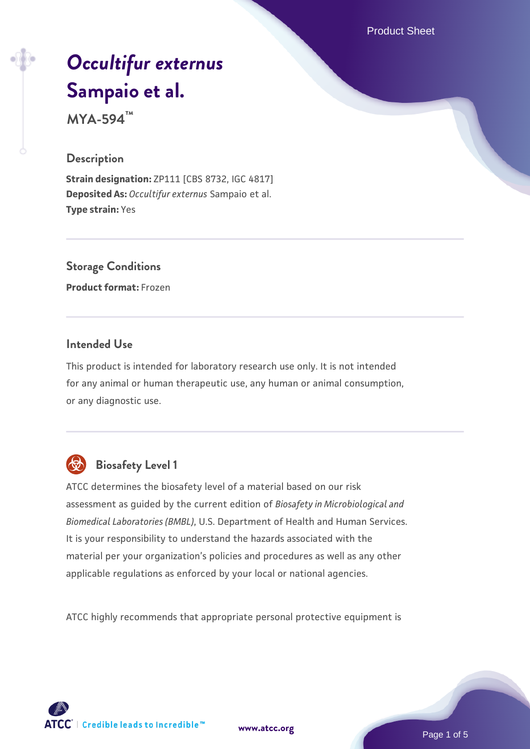Product Sheet

# *[Occultifur externus](https://www.atcc.org/products/mya-594)* **[Sampaio et al.](https://www.atcc.org/products/mya-594)**

**MYA-594™**

#### **Description**

**Strain designation:** ZP111 [CBS 8732, IGC 4817] **Deposited As:** *Occultifur externus* Sampaio et al. **Type strain:** Yes

# **Storage Conditions**

**Product format:** Frozen

#### **Intended Use**

This product is intended for laboratory research use only. It is not intended for any animal or human therapeutic use, any human or animal consumption, or any diagnostic use.



# **Biosafety Level 1**

ATCC determines the biosafety level of a material based on our risk assessment as guided by the current edition of *Biosafety in Microbiological and Biomedical Laboratories (BMBL)*, U.S. Department of Health and Human Services. It is your responsibility to understand the hazards associated with the material per your organization's policies and procedures as well as any other applicable regulations as enforced by your local or national agencies.

ATCC highly recommends that appropriate personal protective equipment is

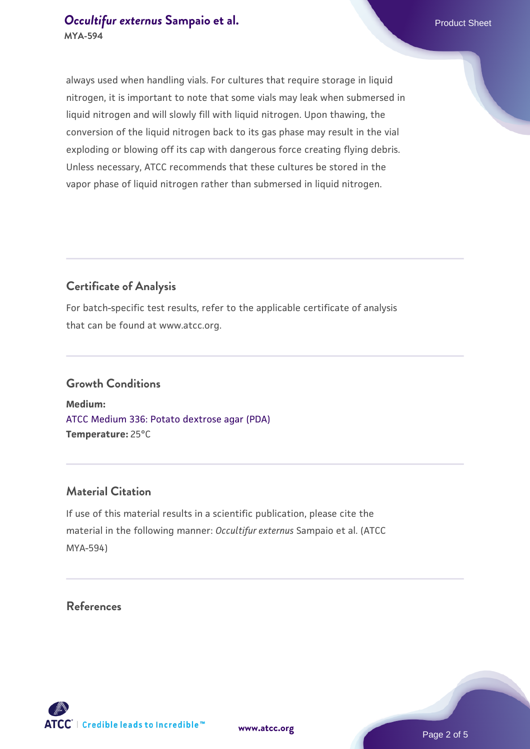### *[Occultifur externus](https://www.atcc.org/products/mya-594)* [Sampaio et al.](https://www.atcc.org/products/mya-594) **Product Sheet** Product Sheet **MYA-594**

always used when handling vials. For cultures that require storage in liquid nitrogen, it is important to note that some vials may leak when submersed in liquid nitrogen and will slowly fill with liquid nitrogen. Upon thawing, the conversion of the liquid nitrogen back to its gas phase may result in the vial exploding or blowing off its cap with dangerous force creating flying debris. Unless necessary, ATCC recommends that these cultures be stored in the vapor phase of liquid nitrogen rather than submersed in liquid nitrogen.

# **Certificate of Analysis**

For batch-specific test results, refer to the applicable certificate of analysis that can be found at www.atcc.org.

#### **Growth Conditions**

**Medium:**  [ATCC Medium 336: Potato dextrose agar \(PDA\)](https://www.atcc.org/-/media/product-assets/documents/microbial-media-formulations/3/3/6/atcc-medium-336.pdf?rev=d9160ad44d934cd8b65175461abbf3b9) **Temperature:** 25°C

# **Material Citation**

If use of this material results in a scientific publication, please cite the material in the following manner: *Occultifur externus* Sampaio et al. (ATCC MYA-594)

#### **References**

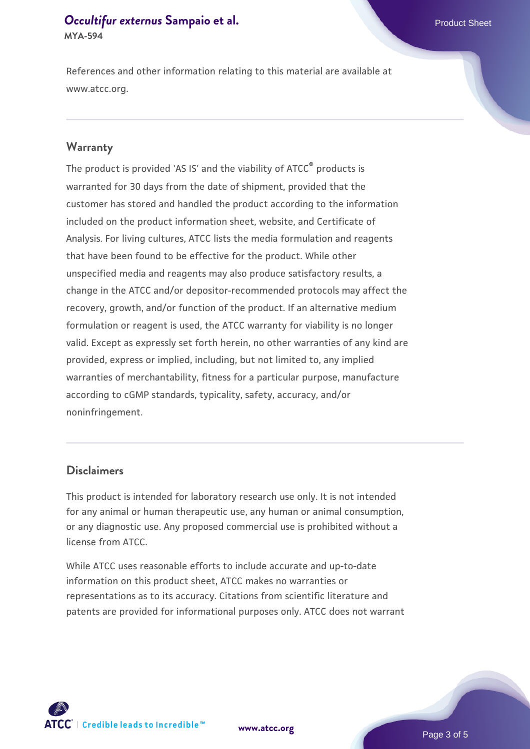#### *[Occultifur externus](https://www.atcc.org/products/mya-594)* [Sampaio et al.](https://www.atcc.org/products/mya-594) **Product Sheet** Product Sheet **MYA-594**

References and other information relating to this material are available at www.atcc.org.

#### **Warranty**

The product is provided 'AS IS' and the viability of ATCC® products is warranted for 30 days from the date of shipment, provided that the customer has stored and handled the product according to the information included on the product information sheet, website, and Certificate of Analysis. For living cultures, ATCC lists the media formulation and reagents that have been found to be effective for the product. While other unspecified media and reagents may also produce satisfactory results, a change in the ATCC and/or depositor-recommended protocols may affect the recovery, growth, and/or function of the product. If an alternative medium formulation or reagent is used, the ATCC warranty for viability is no longer valid. Except as expressly set forth herein, no other warranties of any kind are provided, express or implied, including, but not limited to, any implied warranties of merchantability, fitness for a particular purpose, manufacture according to cGMP standards, typicality, safety, accuracy, and/or noninfringement.

#### **Disclaimers**

This product is intended for laboratory research use only. It is not intended for any animal or human therapeutic use, any human or animal consumption, or any diagnostic use. Any proposed commercial use is prohibited without a license from ATCC.

While ATCC uses reasonable efforts to include accurate and up-to-date information on this product sheet, ATCC makes no warranties or representations as to its accuracy. Citations from scientific literature and patents are provided for informational purposes only. ATCC does not warrant





Page 3 of 5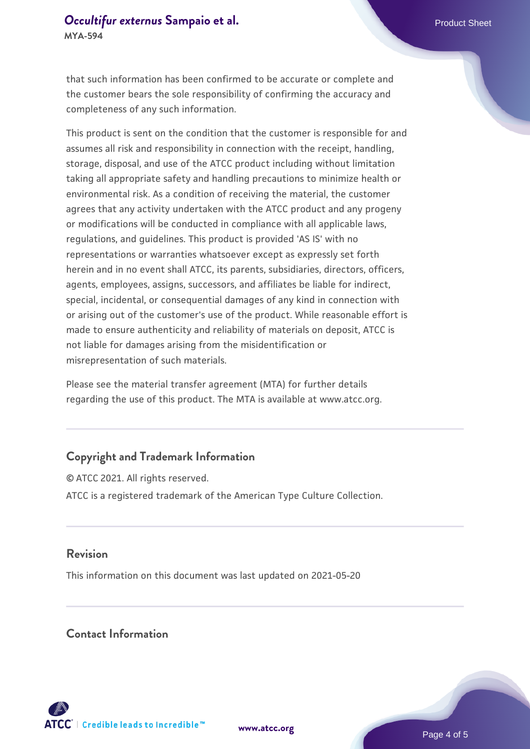#### *[Occultifur externus](https://www.atcc.org/products/mya-594)* [Sampaio et al.](https://www.atcc.org/products/mya-594) **Product Sheet** Product Sheet **MYA-594**

that such information has been confirmed to be accurate or complete and the customer bears the sole responsibility of confirming the accuracy and completeness of any such information.

This product is sent on the condition that the customer is responsible for and assumes all risk and responsibility in connection with the receipt, handling, storage, disposal, and use of the ATCC product including without limitation taking all appropriate safety and handling precautions to minimize health or environmental risk. As a condition of receiving the material, the customer agrees that any activity undertaken with the ATCC product and any progeny or modifications will be conducted in compliance with all applicable laws, regulations, and guidelines. This product is provided 'AS IS' with no representations or warranties whatsoever except as expressly set forth herein and in no event shall ATCC, its parents, subsidiaries, directors, officers, agents, employees, assigns, successors, and affiliates be liable for indirect, special, incidental, or consequential damages of any kind in connection with or arising out of the customer's use of the product. While reasonable effort is made to ensure authenticity and reliability of materials on deposit, ATCC is not liable for damages arising from the misidentification or misrepresentation of such materials.

Please see the material transfer agreement (MTA) for further details regarding the use of this product. The MTA is available at www.atcc.org.

# **Copyright and Trademark Information**

© ATCC 2021. All rights reserved. ATCC is a registered trademark of the American Type Culture Collection.

#### **Revision**

This information on this document was last updated on 2021-05-20

#### **Contact Information**



**[www.atcc.org](http://www.atcc.org)**